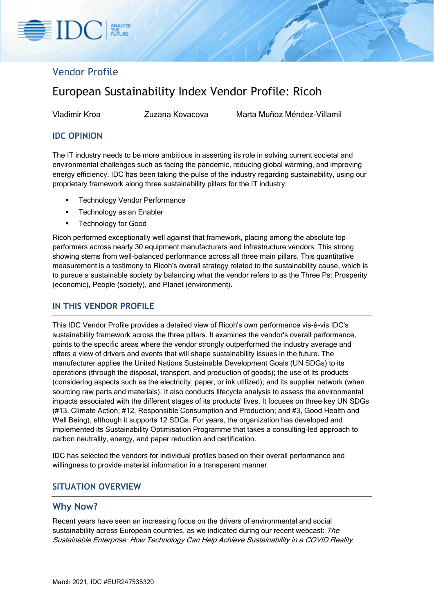# Vendor Profile

# European Sustainability Index Vendor Profile: Ricoh

Vladimir Kroa Zuzana Kovacova Marta Muñoz Méndez-Villamil

# **IDC OPINION**

The IT industry needs to be more ambitious in asserting its role in solving current societal and environmental challenges such as facing the pandemic, reducing global warming, and improving energy efficiency. IDC has been taking the pulse of the industry regarding sustainability, using our proprietary framework along three sustainability pillars for the IT industry:

- Technology Vendor Performance
- **Technology as an Enabler**
- Technology for Good

Ricoh performed exceptionally well against that framework, placing among the absolute top performers across nearly 30 equipment manufacturers and infrastructure vendors. This strong showing stems from well-balanced performance across all three main pillars. This quantitative measurement is a testimony to Ricoh's overall strategy related to the sustainability cause, which is to pursue a sustainable society by balancing what the vendor refers to as the Three Ps: Prosperity (economic), People (society), and Planet (environment).

# **IN THIS VENDOR PROFILE**

This IDC Vendor Profile provides a detailed view of Ricoh's own performance vis-à-vis IDC's sustainability framework across the three pillars. It examines the vendor's overall performance, points to the specific areas where the vendor strongly outperformed the industry average and offers a view of drivers and events that will shape sustainability issues in the future. The manufacturer applies the United Nations Sustainable Development Goals (UN SDGs) to its operations (through the disposal, transport, and production of goods); the use of its products (considering aspects such as the electricity, paper, or ink utilized); and its supplier network (when sourcing raw parts and materials). It also conducts lifecycle analysis to assess the environmental impacts associated with the different stages of its products' lives. It focuses on three key UN SDGs (#13, Climate Action; #12, Responsible Consumption and Production; and #3, Good Health and Well Being), although it supports 12 SDGs. For years, the organization has developed and implemented its Sustainability Optimisation Programme that takes a consulting-led approach to carbon neutrality, energy, and paper reduction and certification.

IDC has selected the vendors for individual profiles based on their overall performance and willingness to provide material information in a transparent manner.

# **SITUATION OVERVIEW**

### **Why Now?**

Recent years have seen an increasing focus on the drivers of environmental and social sustainability across European countries, as we indicated during our recent webcast: The Sustainable Enterprise: How Technology Can Help Achieve Sustainability in a COVID Reality.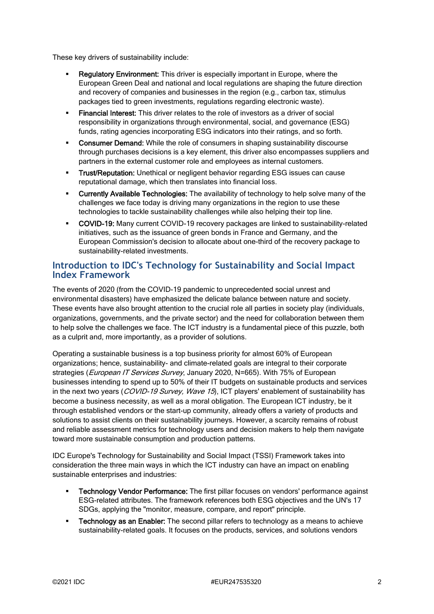These key drivers of sustainability include:

- Regulatory Environment: This driver is especially important in Europe, where the European Green Deal and national and local regulations are shaping the future direction and recovery of companies and businesses in the region (e.g., carbon tax, stimulus packages tied to green investments, regulations regarding electronic waste).
- Financial Interest: This driver relates to the role of investors as a driver of social responsibility in organizations through environmental, social, and governance (ESG) funds, rating agencies incorporating ESG indicators into their ratings, and so forth.
- **Consumer Demand:** While the role of consumers in shaping sustainability discourse through purchases decisions is a key element, this driver also encompasses suppliers and partners in the external customer role and employees as internal customers.
- Trust/Reputation: Unethical or negligent behavior regarding ESG issues can cause reputational damage, which then translates into financial loss.
- **EXECUTE THE TECT CONDUCT CONDUCT:** The availability of technology to help solve many of the challenges we face today is driving many organizations in the region to use these technologies to tackle sustainability challenges while also helping their top line.
- COVID-19: Many current COVID-19 recovery packages are linked to sustainability-related initiatives, such as the issuance of green bonds in France and Germany, and the European Commission's decision to allocate about one-third of the recovery package to sustainability-related investments.

# **Introduction to IDC's Technology for Sustainability and Social Impact Index Framework**

The events of 2020 (from the COVID-19 pandemic to unprecedented social unrest and environmental disasters) have emphasized the delicate balance between nature and society. These events have also brought attention to the crucial role all parties in society play (individuals, organizations, governments, and the private sector) and the need for collaboration between them to help solve the challenges we face. The ICT industry is a fundamental piece of this puzzle, both as a culprit and, more importantly, as a provider of solutions.

Operating a sustainable business is a top business priority for almost 60% of European organizations; hence, sustainability- and climate-related goals are integral to their corporate strategies (*European IT Services Survey*, January 2020, N=665). With 75% of European businesses intending to spend up to 50% of their IT budgets on sustainable products and services in the next two years (COVID-19 Survey, Wave 15), ICT players' enablement of sustainability has become a business necessity, as well as a moral obligation. The European ICT industry, be it through established vendors or the start-up community, already offers a variety of products and solutions to assist clients on their sustainability journeys. However, a scarcity remains of robust and reliable assessment metrics for technology users and decision makers to help them navigate toward more sustainable consumption and production patterns.

IDC Europe's Technology for Sustainability and Social Impact (TSSI) Framework takes into consideration the three main ways in which the ICT industry can have an impact on enabling sustainable enterprises and industries:

- Technology Vendor Performance: The first pillar focuses on vendors' performance against ESG-related attributes. The framework references both ESG objectives and the UN's 17 SDGs, applying the "monitor, measure, compare, and report" principle.
- **F** Technology as an Enabler: The second pillar refers to technology as a means to achieve sustainability-related goals. It focuses on the products, services, and solutions vendors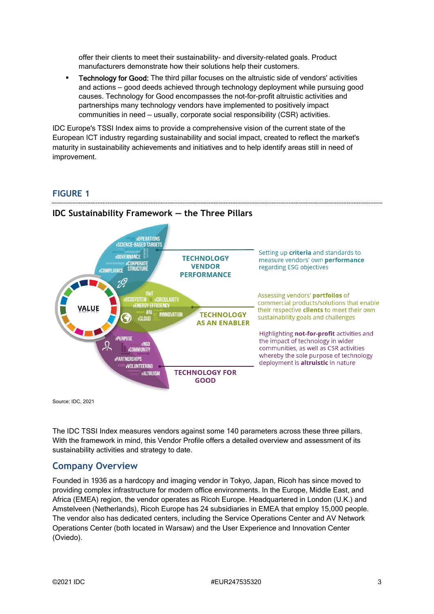offer their clients to meet their sustainability- and diversity-related goals. Product manufacturers demonstrate how their solutions help their customers.

**Technology for Good:** The third pillar focuses on the altruistic side of vendors' activities and actions — good deeds achieved through technology deployment while pursuing good causes. Technology for Good encompasses the not-for-profit altruistic activities and partnerships many technology vendors have implemented to positively impact communities in need — usually, corporate social responsibility (CSR) activities.

IDC Europe's TSSI Index aims to provide a comprehensive vision of the current state of the European ICT industry regarding sustainability and social impact, created to reflect the market's maturity in sustainability achievements and initiatives and to help identify areas still in need of improvement.

# **FIGURE 1**



### **IDC Sustainability Framework — the Three Pillars**

Source: IDC, 2021

The IDC TSSI Index measures vendors against some 140 parameters across these three pillars. With the framework in mind, this Vendor Profile offers a detailed overview and assessment of its sustainability activities and strategy to date.

# **Company Overview**

Founded in 1936 as a hardcopy and imaging vendor in Tokyo, Japan, Ricoh has since moved to providing complex infrastructure for modern office environments. In the Europe, Middle East, and Africa (EMEA) region, the vendor operates as Ricoh Europe. Headquartered in London (U.K.) and Amstelveen (Netherlands), Ricoh Europe has 24 subsidiaries in EMEA that employ 15,000 people. The vendor also has dedicated centers, including the Service Operations Center and AV Network Operations Center (both located in Warsaw) and the User Experience and Innovation Center (Oviedo).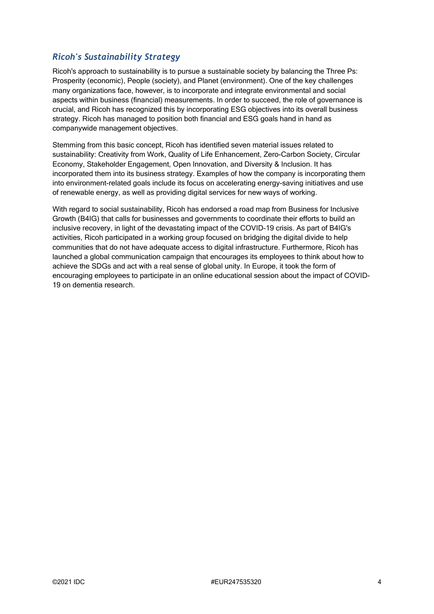# *Ricoh's Sustainability Strategy*

Ricoh's approach to sustainability is to pursue a sustainable society by balancing the Three Ps: Prosperity (economic), People (society), and Planet (environment). One of the key challenges many organizations face, however, is to incorporate and integrate environmental and social aspects within business (financial) measurements. In order to succeed, the role of governance is crucial, and Ricoh has recognized this by incorporating ESG objectives into its overall business strategy. Ricoh has managed to position both financial and ESG goals hand in hand as companywide management objectives.

Stemming from this basic concept, Ricoh has identified seven material issues related to sustainability: Creativity from Work, Quality of Life Enhancement, Zero-Carbon Society, Circular Economy, Stakeholder Engagement, Open Innovation, and Diversity & Inclusion. It has incorporated them into its business strategy. Examples of how the company is incorporating them into environment-related goals include its focus on accelerating energy-saving initiatives and use of renewable energy, as well as providing digital services for new ways of working.

With regard to social sustainability, Ricoh has endorsed a road map from Business for Inclusive Growth (B4IG) that calls for businesses and governments to coordinate their efforts to build an inclusive recovery, in light of the devastating impact of the COVID-19 crisis. As part of B4IG's activities, Ricoh participated in a working group focused on bridging the digital divide to help communities that do not have adequate access to digital infrastructure. Furthermore, Ricoh has launched a global communication campaign that encourages its employees to think about how to achieve the SDGs and act with a real sense of global unity. In Europe, it took the form of encouraging employees to participate in an online educational session about the impact of COVID-19 on dementia research.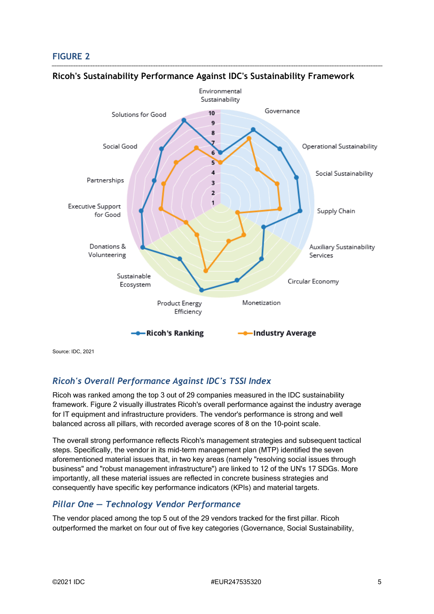# **FIGURE 2**



### **Ricoh's Sustainability Performance Against IDC's Sustainability Framework**

Source: IDC, 2021

# *Ricoh's Overall Performance Against IDC's TSSI Index*

Ricoh was ranked among the top 3 out of 29 companies measured in the IDC sustainability framework. Figure 2 visually illustrates Ricoh's overall performance against the industry average for IT equipment and infrastructure providers. The vendor's performance is strong and well balanced across all pillars, with recorded average scores of 8 on the 10-point scale.

The overall strong performance reflects Ricoh's management strategies and subsequent tactical steps. Specifically, the vendor in its mid-term management plan (MTP) identified the seven aforementioned material issues that, in two key areas (namely "resolving social issues through business" and "robust management infrastructure") are linked to 12 of the UN's 17 SDGs. More importantly, all these material issues are reflected in concrete business strategies and consequently have specific key performance indicators (KPIs) and material targets.

# *Pillar One — Technology Vendor Performance*

The vendor placed among the top 5 out of the 29 vendors tracked for the first pillar. Ricoh outperformed the market on four out of five key categories (Governance, Social Sustainability,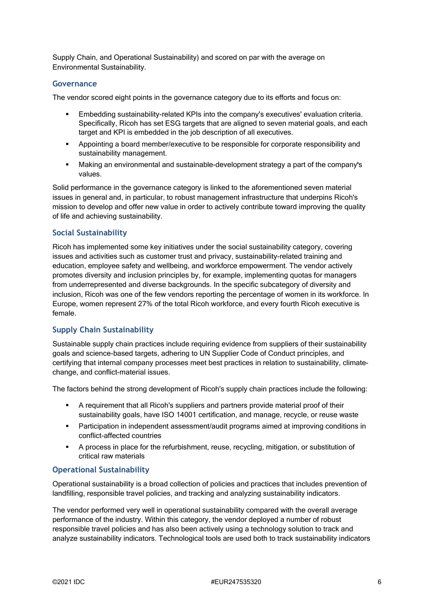Supply Chain, and Operational Sustainability) and scored on par with the average on Environmental Sustainability.

#### **Governance**

The vendor scored eight points in the governance category due to its efforts and focus on:

- Embedding sustainability-related KPIs into the company's executives' evaluation criteria. Specifically, Ricoh has set ESG targets that are aligned to seven material goals, and each target and KPI is embedded in the job description of all executives.
- Appointing a board member/executive to be responsible for corporate responsibility and sustainability management.
- Making an environmental and sustainable-development strategy a part of the company's values.

Solid performance in the governance category is linked to the aforementioned seven material issues in general and, in particular, to robust management infrastructure that underpins Ricoh's mission to develop and offer new value in order to actively contribute toward improving the quality of life and achieving sustainability.

#### **Social Sustainability**

Ricoh has implemented some key initiatives under the social sustainability category, covering issues and activities such as customer trust and privacy, sustainability-related training and education, employee safety and wellbeing, and workforce empowerment. The vendor actively promotes diversity and inclusion principles by, for example, implementing quotas for managers from underrepresented and diverse backgrounds. In the specific subcategory of diversity and inclusion, Ricoh was one of the few vendors reporting the percentage of women in its workforce. In Europe, women represent 27% of the total Ricoh workforce, and every fourth Ricoh executive is female.

#### **Supply Chain Sustainability**

Sustainable supply chain practices include requiring evidence from suppliers of their sustainability goals and science-based targets, adhering to UN Supplier Code of Conduct principles, and certifying that internal company processes meet best practices in relation to sustainability, climatechange, and conflict-material issues.

The factors behind the strong development of Ricoh's supply chain practices include the following:

- A requirement that all Ricoh's suppliers and partners provide material proof of their sustainability goals, have ISO 14001 certification, and manage, recycle, or reuse waste
- Participation in independent assessment/audit programs aimed at improving conditions in conflict-affected countries
- A process in place for the refurbishment, reuse, recycling, mitigation, or substitution of critical raw materials

#### **Operational Sustainability**

Operational sustainability is a broad collection of policies and practices that includes prevention of landfilling, responsible travel policies, and tracking and analyzing sustainability indicators.

The vendor performed very well in operational sustainability compared with the overall average performance of the industry. Within this category, the vendor deployed a number of robust responsible travel policies and has also been actively using a technology solution to track and analyze sustainability indicators. Technological tools are used both to track sustainability indicators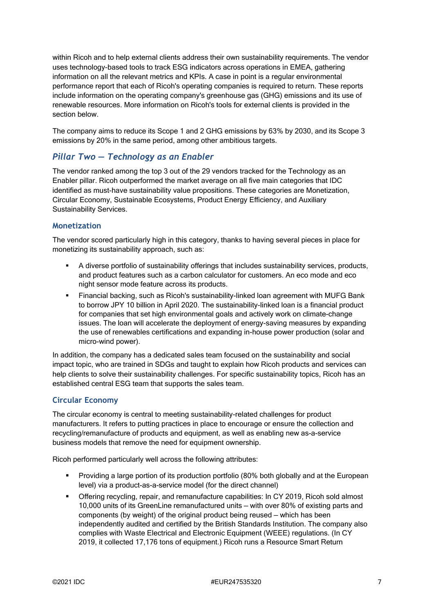within Ricoh and to help external clients address their own sustainability requirements. The vendor uses technology-based tools to track ESG indicators across operations in EMEA, gathering information on all the relevant metrics and KPIs. A case in point is a regular environmental performance report that each of Ricoh's operating companies is required to return. These reports include information on the operating company's greenhouse gas (GHG) emissions and its use of renewable resources. More information on Ricoh's tools for external clients is provided in the section below.

The company aims to reduce its Scope 1 and 2 GHG emissions by 63% by 2030, and its Scope 3 emissions by 20% in the same period, among other ambitious targets.

### *Pillar Two — Technology as an Enabler*

The vendor ranked among the top 3 out of the 29 vendors tracked for the Technology as an Enabler pillar. Ricoh outperformed the market average on all five main categories that IDC identified as must-have sustainability value propositions. These categories are Monetization, Circular Economy, Sustainable Ecosystems, Product Energy Efficiency, and Auxiliary Sustainability Services.

#### **Monetization**

The vendor scored particularly high in this category, thanks to having several pieces in place for monetizing its sustainability approach, such as:

- A diverse portfolio of sustainability offerings that includes sustainability services, products, and product features such as a carbon calculator for customers. An eco mode and eco night sensor mode feature across its products.
- Financial backing, such as Ricoh's sustainability-linked loan agreement with MUFG Bank to borrow JPY 10 billion in April 2020. The sustainability-linked loan is a financial product for companies that set high environmental goals and actively work on climate-change issues. The loan will accelerate the deployment of energy-saving measures by expanding the use of renewables certifications and expanding in-house power production (solar and micro-wind power).

In addition, the company has a dedicated sales team focused on the sustainability and social impact topic, who are trained in SDGs and taught to explain how Ricoh products and services can help clients to solve their sustainability challenges. For specific sustainability topics, Ricoh has an established central ESG team that supports the sales team.

#### **Circular Economy**

The circular economy is central to meeting sustainability-related challenges for product manufacturers. It refers to putting practices in place to encourage or ensure the collection and recycling/remanufacture of products and equipment, as well as enabling new as-a-service business models that remove the need for equipment ownership.

Ricoh performed particularly well across the following attributes:

- **Providing a large portion of its production portfolio (80% both globally and at the European** level) via a product-as-a-service model (for the direct channel)
- Offering recycling, repair, and remanufacture capabilities: In CY 2019, Ricoh sold almost 10,000 units of its GreenLine remanufactured units — with over 80% of existing parts and components (by weight) of the original product being reused — which has been independently audited and certified by the British Standards Institution. The company also complies with Waste Electrical and Electronic Equipment (WEEE) regulations. (In CY 2019, it collected 17,176 tons of equipment.) Ricoh runs a Resource Smart Return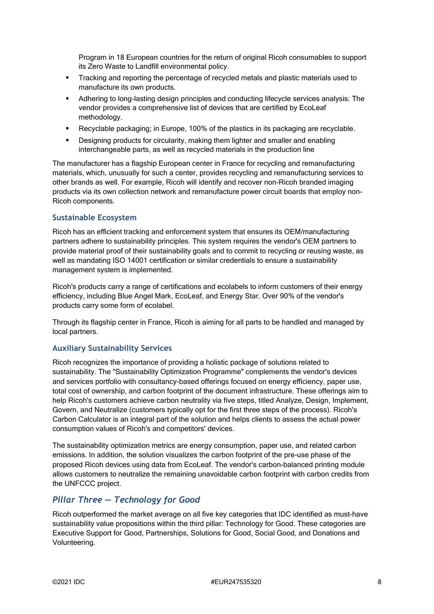Program in 18 European countries for the return of original Ricoh consumables to support its Zero Waste to Landfill environmental policy.

- Tracking and reporting the percentage of recycled metals and plastic materials used to manufacture its own products.
- Adhering to long-lasting design principles and conducting lifecycle services analysis: The vendor provides a comprehensive list of devices that are certified by EcoLeaf methodology.
- Recyclable packaging; in Europe, 100% of the plastics in its packaging are recyclable.
- **•** Designing products for circularity, making them lighter and smaller and enabling interchangeable parts, as well as recycled materials in the production line

The manufacturer has a flagship European center in France for recycling and remanufacturing materials, which, unusually for such a center, provides recycling and remanufacturing services to other brands as well. For example, Ricoh will identify and recover non-Ricoh branded imaging products via its own collection network and remanufacture power circuit boards that employ non-Ricoh components.

#### **Sustainable Ecosystem**

Ricoh has an efficient tracking and enforcement system that ensures its OEM/manufacturing partners adhere to sustainability principles. This system requires the vendor's OEM partners to provide material proof of their sustainability goals and to commit to recycling or reusing waste, as well as mandating ISO 14001 certification or similar credentials to ensure a sustainability management system is implemented.

Ricoh's products carry a range of certifications and ecolabels to inform customers of their energy efficiency, including Blue Angel Mark, EcoLeaf, and Energy Star. Over 90% of the vendor's products carry some form of ecolabel.

Through its flagship center in France, Ricoh is aiming for all parts to be handled and managed by local partners.

#### **Auxiliary Sustainability Services**

Ricoh recognizes the importance of providing a holistic package of solutions related to sustainability. The "Sustainability Optimization Programme" complements the vendor's devices and services portfolio with consultancy-based offerings focused on energy efficiency, paper use, total cost of ownership, and carbon footprint of the document infrastructure. These offerings aim to help Ricoh's customers achieve carbon neutrality via five steps, titled Analyze, Design, Implement, Govern, and Neutralize (customers typically opt for the first three steps of the process). Ricoh's Carbon Calculator is an integral part of the solution and helps clients to assess the actual power consumption values of Ricoh's and competitors' devices.

The sustainability optimization metrics are energy consumption, paper use, and related carbon emissions. In addition, the solution visualizes the carbon footprint of the pre-use phase of the proposed Ricoh devices using data from EcoLeaf. The vendor's carbon-balanced printing module allows customers to neutralize the remaining unavoidable carbon footprint with carbon credits from the UNFCCC project.

### *Pillar Three — Technology for Good*

Ricoh outperformed the market average on all five key categories that IDC identified as must-have sustainability value propositions within the third pillar: Technology for Good. These categories are Executive Support for Good, Partnerships, Solutions for Good, Social Good, and Donations and Volunteering.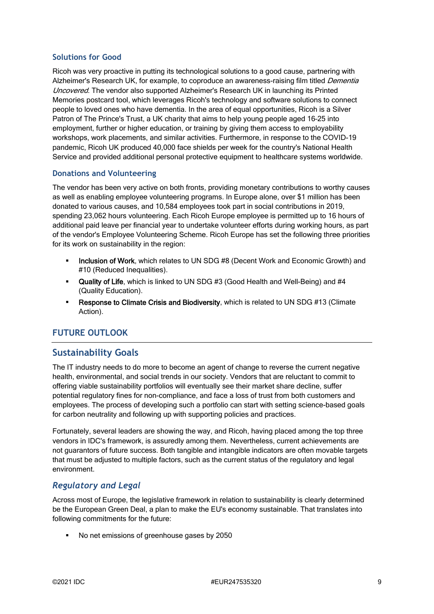#### **Solutions for Good**

Ricoh was very proactive in putting its technological solutions to a good cause, partnering with Alzheimer's Research UK, for example, to coproduce an awareness-raising film titled Dementia Uncovered. The vendor also supported Alzheimer's Research UK in launching its Printed Memories postcard tool, which leverages Ricoh's technology and software solutions to connect people to loved ones who have dementia. In the area of equal opportunities, Ricoh is a Silver Patron of The Prince's Trust, a UK charity that aims to help young people aged 16–25 into employment, further or higher education, or training by giving them access to employability workshops, work placements, and similar activities. Furthermore, in response to the COVID-19 pandemic, Ricoh UK produced 40,000 face shields per week for the country's National Health Service and provided additional personal protective equipment to healthcare systems worldwide.

#### **Donations and Volunteering**

The vendor has been very active on both fronts, providing monetary contributions to worthy causes as well as enabling employee volunteering programs. In Europe alone, over \$1 million has been donated to various causes, and 10,584 employees took part in social contributions in 2019, spending 23,062 hours volunteering. Each Ricoh Europe employee is permitted up to 16 hours of additional paid leave per financial year to undertake volunteer efforts during working hours, as part of the vendor's Employee Volunteering Scheme. Ricoh Europe has set the following three priorities for its work on sustainability in the region:

- Inclusion of Work, which relates to UN SDG #8 (Decent Work and Economic Growth) and #10 (Reduced Inequalities).
- **Quality of Life**, which is linked to UN SDG #3 (Good Health and Well-Being) and #4 (Quality Education).
- **Response to Climate Crisis and Biodiversity, which is related to UN SDG #13 (Climate** Action).

# **FUTURE OUTLOOK**

# **Sustainability Goals**

The IT industry needs to do more to become an agent of change to reverse the current negative health, environmental, and social trends in our society. Vendors that are reluctant to commit to offering viable sustainability portfolios will eventually see their market share decline, suffer potential regulatory fines for non-compliance, and face a loss of trust from both customers and employees. The process of developing such a portfolio can start with setting science-based goals for carbon neutrality and following up with supporting policies and practices.

Fortunately, several leaders are showing the way, and Ricoh, having placed among the top three vendors in IDC's framework, is assuredly among them. Nevertheless, current achievements are not guarantors of future success. Both tangible and intangible indicators are often movable targets that must be adjusted to multiple factors, such as the current status of the regulatory and legal environment.

# *Regulatory and Legal*

Across most of Europe, the legislative framework in relation to sustainability is clearly determined be the European Green Deal, a plan to make the EU's economy sustainable. That translates into following commitments for the future:

No net emissions of greenhouse gases by 2050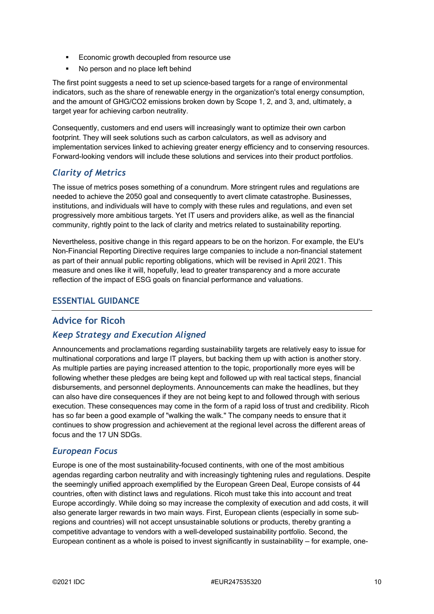- **Economic growth decoupled from resource use**
- No person and no place left behind

The first point suggests a need to set up science-based targets for a range of environmental indicators, such as the share of renewable energy in the organization's total energy consumption, and the amount of GHG/CO2 emissions broken down by Scope 1, 2, and 3, and, ultimately, a target year for achieving carbon neutrality.

Consequently, customers and end users will increasingly want to optimize their own carbon footprint. They will seek solutions such as carbon calculators, as well as advisory and implementation services linked to achieving greater energy efficiency and to conserving resources. Forward-looking vendors will include these solutions and services into their product portfolios.

# *Clarity of Metrics*

The issue of metrics poses something of a conundrum. More stringent rules and regulations are needed to achieve the 2050 goal and consequently to avert climate catastrophe. Businesses, institutions, and individuals will have to comply with these rules and regulations, and even set progressively more ambitious targets. Yet IT users and providers alike, as well as the financial community, rightly point to the lack of clarity and metrics related to sustainability reporting.

Nevertheless, positive change in this regard appears to be on the horizon. For example, the EU's Non-Financial Reporting Directive requires large companies to include a non-financial statement as part of their annual public reporting obligations, which will be revised in April 2021. This measure and ones like it will, hopefully, lead to greater transparency and a more accurate reflection of the impact of ESG goals on financial performance and valuations.

### **ESSENTIAL GUIDANCE**

# **Advice for Ricoh**

# *Keep Strategy and Execution Aligned*

Announcements and proclamations regarding sustainability targets are relatively easy to issue for multinational corporations and large IT players, but backing them up with action is another story. As multiple parties are paying increased attention to the topic, proportionally more eyes will be following whether these pledges are being kept and followed up with real tactical steps, financial disbursements, and personnel deployments. Announcements can make the headlines, but they can also have dire consequences if they are not being kept to and followed through with serious execution. These consequences may come in the form of a rapid loss of trust and credibility. Ricoh has so far been a good example of "walking the walk." The company needs to ensure that it continues to show progression and achievement at the regional level across the different areas of focus and the 17 UN SDGs.

# *European Focus*

Europe is one of the most sustainability-focused continents, with one of the most ambitious agendas regarding carbon neutrality and with increasingly tightening rules and regulations. Despite the seemingly unified approach exemplified by the European Green Deal, Europe consists of 44 countries, often with distinct laws and regulations. Ricoh must take this into account and treat Europe accordingly. While doing so may increase the complexity of execution and add costs, it will also generate larger rewards in two main ways. First, European clients (especially in some subregions and countries) will not accept unsustainable solutions or products, thereby granting a competitive advantage to vendors with a well-developed sustainability portfolio. Second, the European continent as a whole is poised to invest significantly in sustainability — for example, one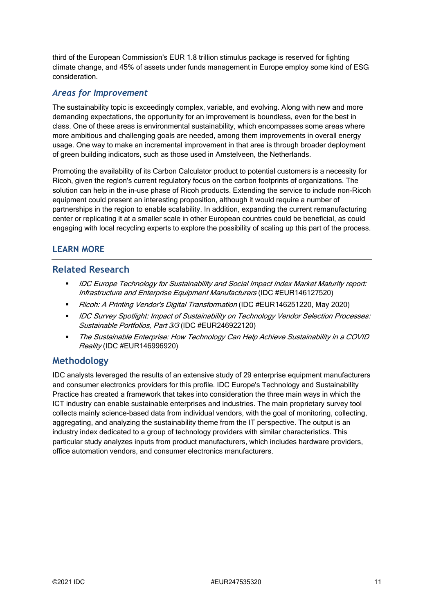third of the European Commission's EUR 1.8 trillion stimulus package is reserved for fighting climate change, and 45% of assets under funds management in Europe employ some kind of ESG consideration.

### *Areas for Improvement*

The sustainability topic is exceedingly complex, variable, and evolving. Along with new and more demanding expectations, the opportunity for an improvement is boundless, even for the best in class. One of these areas is environmental sustainability, which encompasses some areas where more ambitious and challenging goals are needed, among them improvements in overall energy usage. One way to make an incremental improvement in that area is through broader deployment of green building indicators, such as those used in Amstelveen, the Netherlands.

Promoting the availability of its Carbon Calculator product to potential customers is a necessity for Ricoh, given the region's current regulatory focus on the carbon footprints of organizations. The solution can help in the in-use phase of Ricoh products. Extending the service to include non-Ricoh equipment could present an interesting proposition, although it would require a number of partnerships in the region to enable scalability. In addition, expanding the current remanufacturing center or replicating it at a smaller scale in other European countries could be beneficial, as could engaging with local recycling experts to explore the possibility of scaling up this part of the process.

# **LEARN MORE**

# **Related Research**

- **IDC Europe Technology for Sustainability and Social Impact Index Market Maturity report:** Infrastructure and Enterprise Equipment Manufacturers (IDC #EUR146127520)
- Ricoh: A Printing Vendor's Digital Transformation (IDC #EUR146251220, May 2020)
- **IDC Survey Spotlight: Impact of Sustainability on Technology Vendor Selection Processes:** Sustainable Portfolios, Part 3/3 (IDC #EUR246922120)
- The Sustainable Enterprise: How Technology Can Help Achieve Sustainability in a COVID Reality (IDC #EUR146996920)

# **Methodology**

IDC analysts leveraged the results of an extensive study of 29 enterprise equipment manufacturers and consumer electronics providers for this profile. IDC Europe's Technology and Sustainability Practice has created a framework that takes into consideration the three main ways in which the ICT industry can enable sustainable enterprises and industries. The main proprietary survey tool collects mainly science-based data from individual vendors, with the goal of monitoring, collecting, aggregating, and analyzing the sustainability theme from the IT perspective. The output is an industry index dedicated to a group of technology providers with similar characteristics. This particular study analyzes inputs from product manufacturers, which includes hardware providers, office automation vendors, and consumer electronics manufacturers.